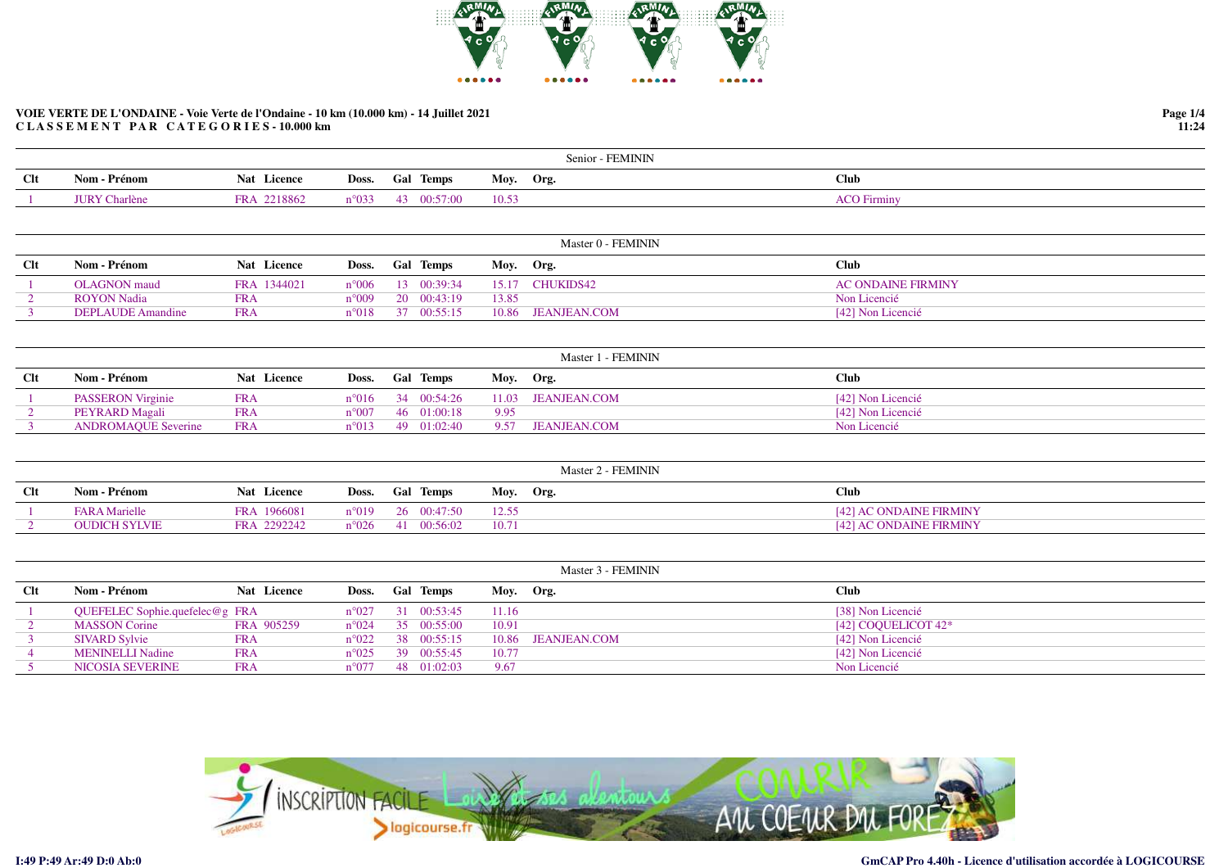

|            |              |                       |                 |                  | Senior - FEMININ |                    |
|------------|--------------|-----------------------|-----------------|------------------|------------------|--------------------|
| <b>Clt</b> | Nom - Prénom | <b>Nat</b><br>Licence | Doss.           | <b>Gal Temps</b> | Moy. Org.        | Club               |
|            |              | 2218862<br><b>FRA</b> | $n^{\circ}$ 033 | 2:57:00          | 10.53            | <b>ACO Firminy</b> |

|     |                    |             |                 |                            |           | Master 0 - FEMININ |                           |
|-----|--------------------|-------------|-----------------|----------------------------|-----------|--------------------|---------------------------|
| Clt | Nom - Prénom       | Nat Licence | Doss. Gal Temps |                            | Moy. Org. |                    | <b>Club</b>               |
|     | OLAGNON maud       | FRA 1344021 |                 | $n^{\circ}006$ 13 00:39:34 | 15.17     | CHUKIDS42          | <b>AC ONDAINE FIRMINY</b> |
|     | <b>ROYON</b> Nadia | <b>FRA</b>  | $n^{\circ}009$  | 20 00:43:19                | 13.85     |                    | Non Licencié              |
|     | DEPLAUDE Amandine  | <b>FRA</b>  | $n^{\circ}018$  | 37 00:55:15                | 10.86     | JEANJEAN.COM       | [42] Non Licencié         |
|     |                    |             |                 |                            |           |                    |                           |

|            |                            |                    |                 |                                    | Master 1 - FEMININ |                   |
|------------|----------------------------|--------------------|-----------------|------------------------------------|--------------------|-------------------|
| <b>Clt</b> | Nom - Prénom               | <b>Nat</b> Licence | Doss. Gal Temps |                                    | Moy. Org.          | <b>Club</b>       |
|            | <b>PASSERON</b> Virginie   | <b>FRA</b>         |                 | $n^{\circ}016$ 34 00:54:26         | 11.03 JEANJEAN.COM | [42] Non Licencié |
|            | PEYRARD Magali             | <b>FRA</b>         |                 | $n^{\circ}007$ 46 01:00:18<br>9.95 |                    | [42] Non Licencié |
|            | <b>ANDROMAOUE Severine</b> | <b>FRA</b>         |                 | $n^{\circ}013$ 49 01:02:40         | 9.57 JEANJEAN.COM  | Non Licencié      |
|            |                            |                    |                 |                                    |                    |                   |

|            |                      |                    |                            | Master 2 - FEMININ |                                |
|------------|----------------------|--------------------|----------------------------|--------------------|--------------------------------|
| <b>Clt</b> | Nom - Prénom         | <b>Nat</b> Licence | Doss. Gal Temps            | Moy. Org.          | <b>Club</b>                    |
|            | <b>FARA Marielle</b> | FRA 1966081        | n°019 26 00:47:50          | 12.55              | [42] AC ONDAINE FIRMINY        |
|            | OUDICH SYLVIE        | FRA 2292242        | $n^{\circ}026$ 41 00:56:02 | 10.71              | <b>1421 AC ONDAINE FIRMINY</b> |

|            |                                |             |                |                            |           | Master 3 - FEMININ |                        |
|------------|--------------------------------|-------------|----------------|----------------------------|-----------|--------------------|------------------------|
| <b>Clt</b> | Nom - Prénom                   | Nat Licence |                | Doss. Gal Temps            | Moy. Org. |                    | <b>Club</b>            |
|            | QUEFELEC Sophie.quefelec@g FRA |             |                | $n^{\circ}027$ 31 00:53:45 | 11.16     |                    | [38] Non Licencié      |
|            | <b>MASSON Corine</b>           | FRA 905259  |                | $n^{\circ}024$ 35 00:55:00 | 10.91     |                    | [42] COQUELICOT $42^*$ |
|            | <b>SIVARD Sylvie</b>           | <b>FRA</b>  |                | $n^{\circ}022$ 38 00:55:15 |           | 10.86 JEANJEAN.COM | [42] Non Licencié      |
|            | <b>MENINELLI Nadine</b>        | <b>FRA</b>  |                | $n^{\circ}025$ 39 00:55:45 | 10.77     |                    | [42] Non Licencié      |
|            | NICOSIA SEVERINE               | <b>FRA</b>  | $n^{\circ}077$ | 48 01:02:03                | 9.67      |                    | Non Licencié           |



**Page 1/411:24**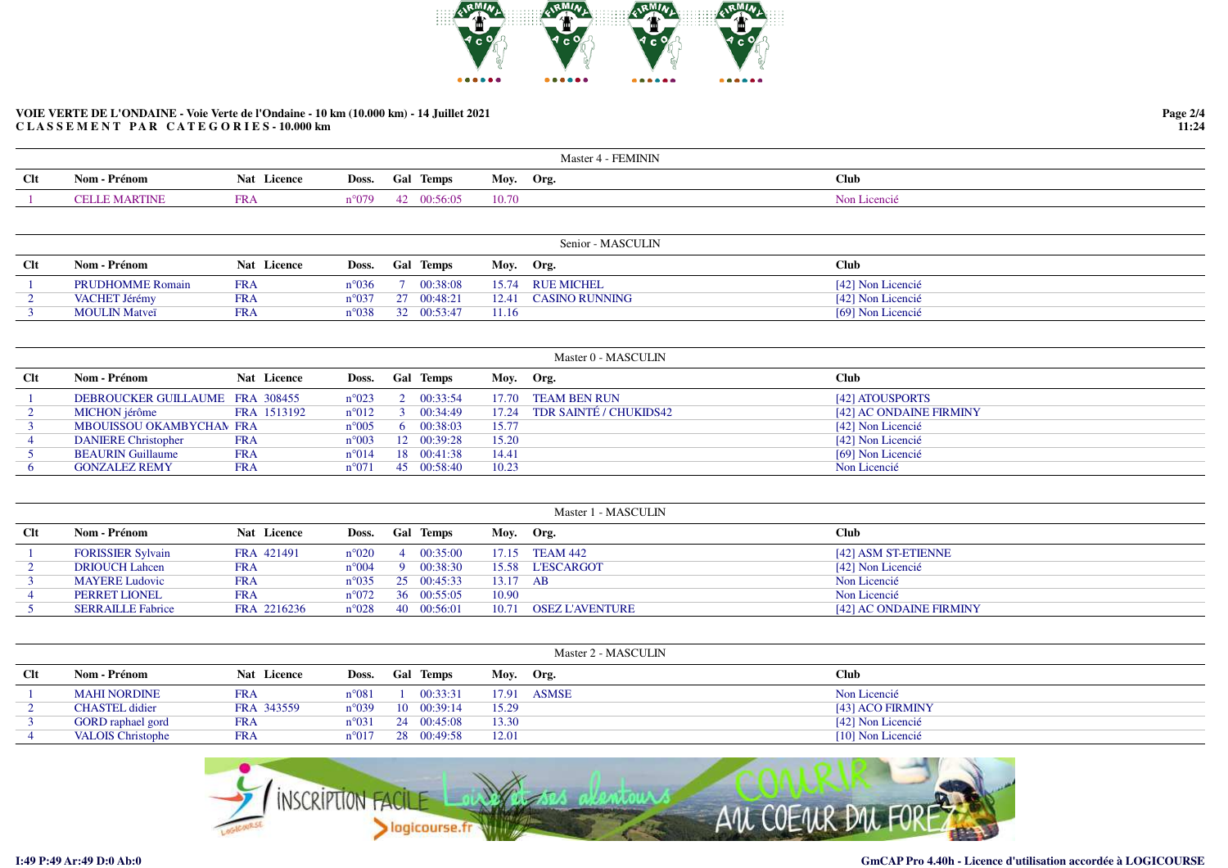

|            |                      |             |        |                  | - FEMININ<br>Master 4 |              |
|------------|----------------------|-------------|--------|------------------|-----------------------|--------------|
| <b>Clt</b> | - Prénom<br>Nom -    | Nat Licence | Doss.  | <b>Gal Temps</b> | Moy. Org.             | Club         |
|            | <b>CELLE MARTINE</b> | FR/         | n°079. | 0:56:05<br>42    | 10.70                 | Non Licencié |

|        |                         |             |                 |                            |           | Senior - MASCULIN    |                   |
|--------|-------------------------|-------------|-----------------|----------------------------|-----------|----------------------|-------------------|
| $Cl$ t | Nom - Prénom            | Nat Licence | Doss. Gal Temps |                            | Moy. Org. |                      | <b>Club</b>       |
|        | <b>PRUDHOMME Romain</b> | FRA         |                 | $n^{\circ}036$ 7 00:38:08  |           | 15.74 RUE MICHEL     | [42] Non Licencié |
|        | VACHET Jérémy           | FRA         |                 | $n^{\circ}037$ 27 00:48:21 |           | 12.41 CASINO RUNNING | [42] Non Licencié |
|        | <b>MOULIN Matveï</b>    | FR A        |                 | $n^{\circ}038$ 32 00:53:47 | 11.16     |                      | [69] Non Licencié |

| Clt | Nom - Prénom                    | <b>Nat</b> Licence | Doss. Gal Temps |                    | Moy. Org. |                        | <b>Club</b>             |
|-----|---------------------------------|--------------------|-----------------|--------------------|-----------|------------------------|-------------------------|
|     | DEBROUCKER GUILLAUME FRA 308455 |                    | $n^{\circ}023$  | 2 00:33:54         | 17.70     | TEAM BEN RUN           | [42] ATOUSPORTS         |
|     | MICHON jérôme                   | FRA 1513192        | $n^{\circ}012$  | $3 \quad 00:34:49$ | 17.24     | TDR SAINTÉ / CHUKIDS42 | [42] AC ONDAINE FIRMINY |
|     | MBOUISSOU OKAMBYCHAN FRA        |                    | $n^{\circ}005$  | 6 00:38:03         | 15.77     |                        | [42] Non Licencié       |
|     | <b>DANIERE Christopher</b>      | <b>FRA</b>         | $n^{\circ}003$  | 12 00:39:28        | 15.20     |                        | [42] Non Licencié       |
|     | <b>BEAURIN Guillaume</b>        | <b>FRA</b>         | $n^{\circ}014$  | 18 00:41:38        | 14.41     |                        | [69] Non Licencié       |
|     | <b>GONZALEZ REMY</b>            | <b>FRA</b>         | $n^{\circ}071$  | 45 00:58:40        | 10.23     |                        | Non Licencié            |

|            |                          |             |                |                            |           | Master 1 - MASCULIN    |                         |
|------------|--------------------------|-------------|----------------|----------------------------|-----------|------------------------|-------------------------|
| <b>Clt</b> | Nom - Prénom             | Nat Licence | Doss.          | <b>Gal Temps</b>           | Moy. Org. |                        | <b>Club</b>             |
|            | <b>FORISSIER Sylvain</b> | FRA 421491  | $n^{\circ}020$ | 400:35:00                  |           | 17.15 TEAM 442         | [42] ASM ST-ETIENNE     |
|            | <b>DRIOUCH Lahcen</b>    | FRA         | $n^{\circ}004$ | 00:38:30                   |           | 15.58 L'ESCARGOT       | [42] Non Licencié       |
|            | <b>MAYERE Ludovic</b>    | FRA         |                | $n^{\circ}035$ 25 00:45:33 | 13.17 AB  |                        | Non Licencié            |
|            | <b>PERRET LIONEL</b>     | FRA         | $n^{\circ}072$ | 36 00:55:05                | 10.90     |                        | Non Licencié            |
|            | <b>SERRAILLE Fabrice</b> | FRA 2216236 | $n^{\circ}028$ | 40 00:56:01                | 10.71     | <b>OSEZ L'AVENTURE</b> | [42] AC ONDAINE FIRMINY |

|     |                          |                    |                |                  |           | Master 2 - MASCULIN |                   |
|-----|--------------------------|--------------------|----------------|------------------|-----------|---------------------|-------------------|
| Clt | Nom - Prénom             | <b>Nat</b> Licence | Doss.          | <b>Gal Temps</b> | Moy. Org. |                     | <b>Club</b>       |
|     | <b>MAHI NORDINE</b>      | <b>FRA</b>         | $n^{\circ}081$ | 00:33:31         | 17.91     | ASMSE               | Non Licencié      |
|     | <b>CHASTEL</b> didier    | FRA 343559         | $n^{\circ}039$ | 10 00:39:14      | 15.29     |                     | [43] ACO FIRMINY  |
|     | <b>GORD</b> raphael gord | <b>FRA</b>         | $n^{\circ}031$ | 24 00:45:08      | 13.30     |                     | [42] Non Licencié |
|     | <b>VALOIS Christophe</b> | <b>FRA</b>         | $n^{\circ}017$ | 28 00:49:58      | 12.01     |                     | [10] Non Licencié |

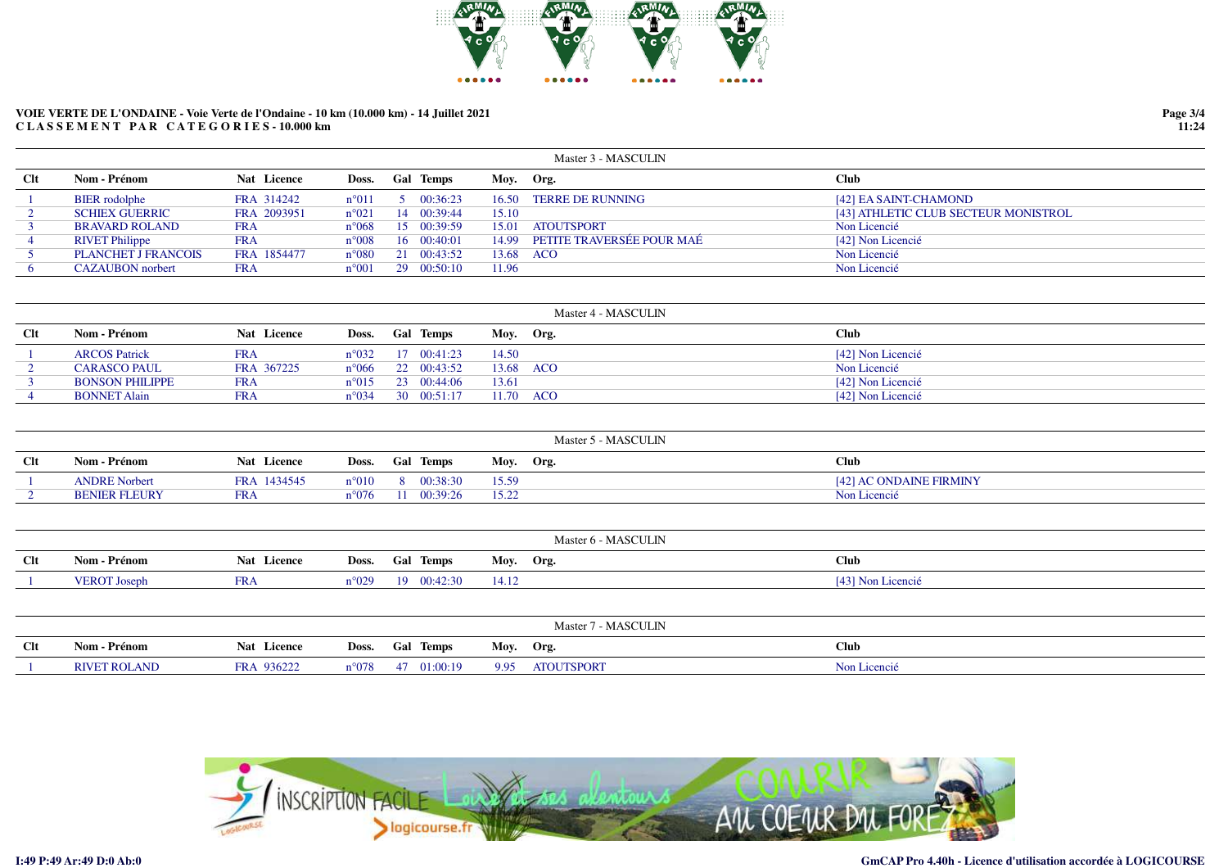

|     |                         |             |                |                    |           | Master 3 - MASCULIN       |                                      |
|-----|-------------------------|-------------|----------------|--------------------|-----------|---------------------------|--------------------------------------|
| Clt | Nom - Prénom            | Nat Licence | Doss.          | <b>Gal Temps</b>   | Moy. Org. |                           | <b>Club</b>                          |
|     | <b>BIER</b> rodolphe    | FRA 314242  | $n^{\circ}011$ | $5 \quad 00:36:23$ | 16.50     | <b>TERRE DE RUNNING</b>   | [42] EA SAINT-CHAMOND                |
|     | <b>SCHIEX GUERRIC</b>   | FRA 2093951 | $n^{\circ}021$ | 14 00:39:44        | 15.10     |                           | [43] ATHLETIC CLUB SECTEUR MONISTROL |
|     | <b>BRAVARD ROLAND</b>   | <b>FRA</b>  | $n^{\circ}068$ | 15 00:39:59        | 15.01     | <b>ATOUTSPORT</b>         | Non Licencié                         |
|     | <b>RIVET Philippe</b>   | <b>FRA</b>  | $n^{\circ}008$ | 16 00:40:01        | 14.99     | PETITE TRAVERSÉE POUR MAÉ | [42] Non Licencié                    |
|     | PLANCHET J FRANCOIS     | FRA 1854477 | $n^{\circ}080$ | 21 00:43:52        | 13.68 ACO |                           | Non Licencié                         |
|     | <b>CAZAUBON</b> norbert | <b>FRA</b>  | $n^{\circ}001$ | 29 00:50:10        | 11.96     |                           | Non Licencié                         |

|        |                        |             |       |                            |           | Master 4 - MASCULIN |                   |
|--------|------------------------|-------------|-------|----------------------------|-----------|---------------------|-------------------|
| $Cl$ t | Nom - Prénom           | Nat Licence | Doss. | <b>Gal Temps</b>           | Moy. Org. |                     | Club              |
|        | <b>ARCOS Patrick</b>   | <b>FRA</b>  |       | $n^{\circ}032$ 17 00:41:23 | 14.50     |                     | [42] Non Licencié |
|        | <b>CARASCO PAUL</b>    | FRA 367225  |       | $n^{\circ}066$ 22 00:43:52 | 13.68 ACO |                     | Non Licencié      |
|        | <b>BONSON PHILIPPE</b> | <b>FRA</b>  |       | $n^{\circ}015$ 23 00:44:06 | 13.61     |                     | [42] Non Licencié |
|        | <b>BONNET Alain</b>    | <b>FRA</b>  |       | $n^{\circ}034$ 30 00:51:17 |           | 11.70 ACO           | [42] Non Licencié |

|      |                      |                       |                |                  | Master 5 - MASCULIN |                         |
|------|----------------------|-----------------------|----------------|------------------|---------------------|-------------------------|
| $Cl$ | Nom - Prénom         | Nat Licence           | Doss.          | <b>Gal Temps</b> | Mov.<br>Org.        | <b>Club</b>             |
|      | <b>ANDRE Norbert</b> | 1434545<br><b>FRA</b> | $n^{\circ}010$ | 00:38:30         | 15.59               | [42] AC ONDAINE FIRMINY |
|      | <b>BENIER FLEURY</b> | <b>FRA</b>            | $a^{\circ}076$ | 0:39:26          | 15.22               | Non Licencié            |

|     | Master 6 - MASCULIN |             |       |                 |           |                   |
|-----|---------------------|-------------|-------|-----------------|-----------|-------------------|
| Clt | Nom - Prénom        | Nat Licence |       | Doss. Gal Temps | Moy. Org. | <b>Club</b>       |
|     | <b>VEROT</b> Joseph | , קד<br>n   | n°029 | 19 00:42:30     | 14.12     | [43] Non Licencié |

| Master 7 - MASCULIN |                     |                      |                |                  |      |                   |              |
|---------------------|---------------------|----------------------|----------------|------------------|------|-------------------|--------------|
| $Cl$ t              | Nom - Prénom        | Nat Licence          | Doss.          | <b>Gal Temps</b> | Moy. | Org.              | Club         |
|                     | <b>RIVET ROLAND</b> | 936222<br><b>FRA</b> | $n^{\circ}078$ | 01:00:19         | 9.95 | <b>ATOUTSPORT</b> | Non Licencié |